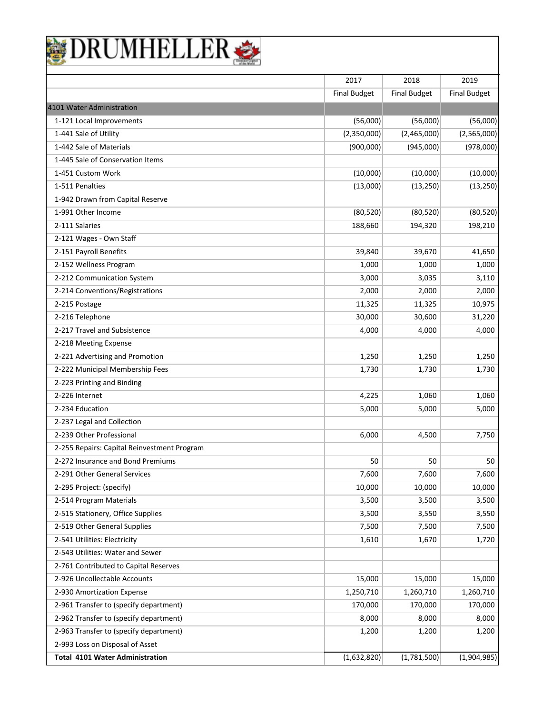|                                             | 2017                | 2018                | 2019                |
|---------------------------------------------|---------------------|---------------------|---------------------|
|                                             | <b>Final Budget</b> | <b>Final Budget</b> | <b>Final Budget</b> |
| 4101 Water Administration                   |                     |                     |                     |
| 1-121 Local Improvements                    | (56,000)            | (56,000)            | (56,000)            |
| 1-441 Sale of Utility                       | (2,350,000)         | (2,465,000)         | (2,565,000)         |
| 1-442 Sale of Materials                     | (900,000)           | (945,000)           | (978,000)           |
| 1-445 Sale of Conservation Items            |                     |                     |                     |
| 1-451 Custom Work                           | (10,000)            | (10,000)            | (10,000)            |
| 1-511 Penalties                             | (13,000)            | (13, 250)           | (13, 250)           |
| 1-942 Drawn from Capital Reserve            |                     |                     |                     |
| 1-991 Other Income                          | (80, 520)           | (80, 520)           | (80, 520)           |
| 2-111 Salaries                              | 188,660             | 194,320             | 198,210             |
| 2-121 Wages - Own Staff                     |                     |                     |                     |
| 2-151 Payroll Benefits                      | 39,840              | 39,670              | 41,650              |
| 2-152 Wellness Program                      | 1,000               | 1,000               | 1,000               |
| 2-212 Communication System                  | 3,000               | 3,035               | 3,110               |
| 2-214 Conventions/Registrations             | 2,000               | 2,000               | 2,000               |
| 2-215 Postage                               | 11,325              | 11,325              | 10,975              |
| 2-216 Telephone                             | 30,000              | 30,600              | 31,220              |
| 2-217 Travel and Subsistence                | 4,000               | 4,000               | 4,000               |
| 2-218 Meeting Expense                       |                     |                     |                     |
| 2-221 Advertising and Promotion             | 1,250               | 1,250               | 1,250               |
| 2-222 Municipal Membership Fees             | 1,730               | 1,730               | 1,730               |
| 2-223 Printing and Binding                  |                     |                     |                     |
| 2-226 Internet                              | 4,225               | 1,060               | 1,060               |
| 2-234 Education                             | 5,000               | 5,000               | 5,000               |
| 2-237 Legal and Collection                  |                     |                     |                     |
| 2-239 Other Professional                    | 6,000               | 4,500               | 7,750               |
| 2-255 Repairs: Capital Reinvestment Program |                     |                     |                     |
| 2-272 Insurance and Bond Premiums           | 50                  | 50                  | 50                  |
| 2-291 Other General Services                | 7,600               | 7,600               | 7,600               |
| 2-295 Project: (specify)                    | 10,000              | 10,000              | 10,000              |
| 2-514 Program Materials                     | 3,500               | 3,500               | 3,500               |
| 2-515 Stationery, Office Supplies           | 3,500               | 3,550               | 3,550               |
| 2-519 Other General Supplies                | 7,500               | 7,500               | 7,500               |
| 2-541 Utilities: Electricity                | 1,610               | 1,670               | 1,720               |
| 2-543 Utilities: Water and Sewer            |                     |                     |                     |
| 2-761 Contributed to Capital Reserves       |                     |                     |                     |
| 2-926 Uncollectable Accounts                | 15,000              | 15,000              | 15,000              |
| 2-930 Amortization Expense                  | 1,250,710           | 1,260,710           | 1,260,710           |
| 2-961 Transfer to (specify department)      | 170,000             | 170,000             | 170,000             |
| 2-962 Transfer to (specify department)      | 8,000               | 8,000               | 8,000               |
| 2-963 Transfer to (specify department)      | 1,200               | 1,200               | 1,200               |
| 2-993 Loss on Disposal of Asset             |                     |                     |                     |
| <b>Total 4101 Water Administration</b>      | (1,632,820)         | (1,781,500)         | (1,904,985)         |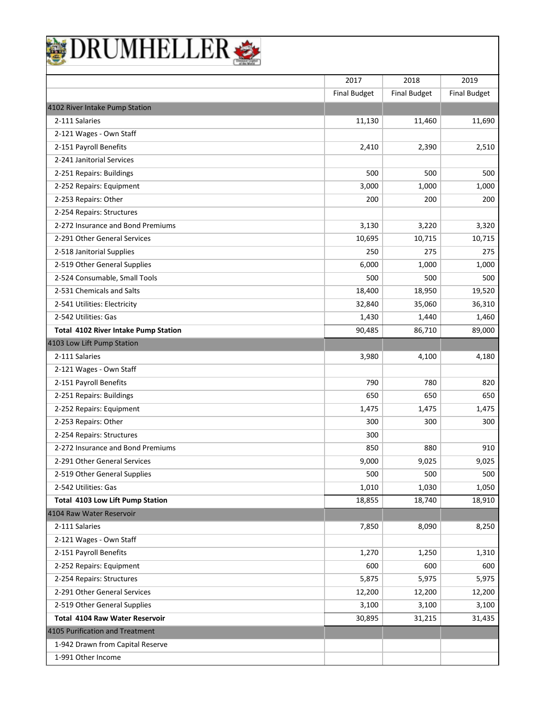|                                      | 2017                | 2018                | 2019                |
|--------------------------------------|---------------------|---------------------|---------------------|
|                                      | <b>Final Budget</b> | <b>Final Budget</b> | <b>Final Budget</b> |
| 4102 River Intake Pump Station       |                     |                     |                     |
| 2-111 Salaries                       | 11,130              | 11,460              | 11,690              |
| 2-121 Wages - Own Staff              |                     |                     |                     |
| 2-151 Payroll Benefits               | 2,410               | 2,390               | 2,510               |
| 2-241 Janitorial Services            |                     |                     |                     |
| 2-251 Repairs: Buildings             | 500                 | 500                 | 500                 |
| 2-252 Repairs: Equipment             | 3,000               | 1,000               | 1,000               |
| 2-253 Repairs: Other                 | 200                 | 200                 | 200                 |
| 2-254 Repairs: Structures            |                     |                     |                     |
| 2-272 Insurance and Bond Premiums    | 3,130               | 3,220               | 3,320               |
| 2-291 Other General Services         | 10,695              | 10,715              | 10,715              |
| 2-518 Janitorial Supplies            | 250                 | 275                 | 275                 |
| 2-519 Other General Supplies         | 6,000               | 1,000               | 1,000               |
| 2-524 Consumable, Small Tools        | 500                 | 500                 | 500                 |
| 2-531 Chemicals and Salts            | 18,400              | 18,950              | 19,520              |
| 2-541 Utilities: Electricity         | 32,840              | 35,060              | 36,310              |
| 2-542 Utilities: Gas                 | 1,430               | 1,440               | 1,460               |
| Total 4102 River Intake Pump Station | 90,485              | 86,710              | 89,000              |
| 4103 Low Lift Pump Station           |                     |                     |                     |
| 2-111 Salaries                       | 3,980               | 4,100               | 4,180               |
| 2-121 Wages - Own Staff              |                     |                     |                     |
| 2-151 Payroll Benefits               | 790                 | 780                 | 820                 |
| 2-251 Repairs: Buildings             | 650                 | 650                 | 650                 |
| 2-252 Repairs: Equipment             | 1,475               | 1,475               | 1,475               |
| 2-253 Repairs: Other                 | 300                 | 300                 | 300                 |
| 2-254 Repairs: Structures            | 300                 |                     |                     |
| 2-272 Insurance and Bond Premiums    | 850                 | 880                 | 910                 |
| 2-291 Other General Services         | 9,000               | 9,025               | 9,025               |
| 2-519 Other General Supplies         | 500                 | 500                 | 500                 |
| 2-542 Utilities: Gas                 | 1,010               | 1,030               | 1,050               |
| Total 4103 Low Lift Pump Station     | 18,855              | 18,740              | 18,910              |
| 4104 Raw Water Reservoir             |                     |                     |                     |
| 2-111 Salaries                       | 7,850               | 8,090               | 8,250               |
| 2-121 Wages - Own Staff              |                     |                     |                     |
| 2-151 Payroll Benefits               | 1,270               | 1,250               | 1,310               |
| 2-252 Repairs: Equipment             | 600                 | 600                 | 600                 |
| 2-254 Repairs: Structures            | 5,875               | 5,975               | 5,975               |
| 2-291 Other General Services         | 12,200              | 12,200              | 12,200              |
| 2-519 Other General Supplies         | 3,100               | 3,100               | 3,100               |
| Total 4104 Raw Water Reservoir       | 30,895              | 31,215              | 31,435              |
| 4105 Purification and Treatment      |                     |                     |                     |
| 1-942 Drawn from Capital Reserve     |                     |                     |                     |
| 1-991 Other Income                   |                     |                     |                     |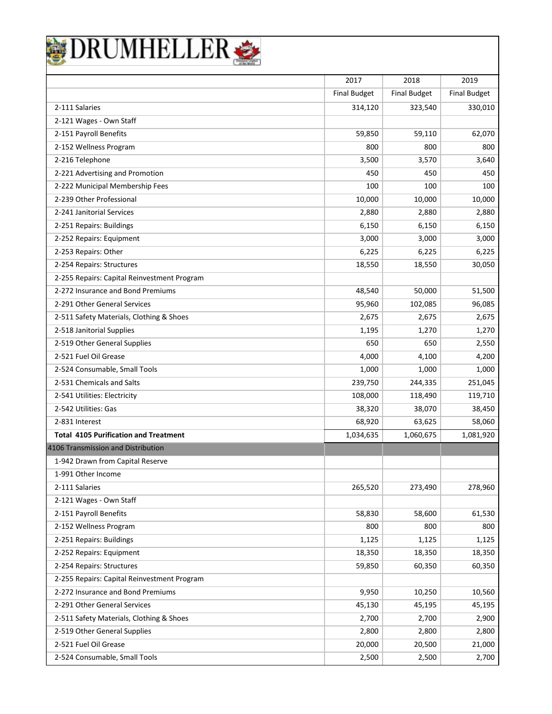|                                                                          |                     |                     | 2019                |
|--------------------------------------------------------------------------|---------------------|---------------------|---------------------|
|                                                                          | 2017                | 2018                | <b>Final Budget</b> |
|                                                                          | <b>Final Budget</b> | <b>Final Budget</b> |                     |
| 2-111 Salaries                                                           | 314,120             | 323,540             | 330,010             |
| 2-121 Wages - Own Staff<br>2-151 Payroll Benefits                        |                     | 59,110              |                     |
|                                                                          | 59,850              |                     | 62,070              |
| 2-152 Wellness Program<br>2-216 Telephone                                | 800<br>3,500        | 800<br>3,570        | 800<br>3,640        |
| 2-221 Advertising and Promotion                                          | 450                 | 450                 | 450                 |
| 2-222 Municipal Membership Fees                                          | 100                 | 100                 | 100                 |
| 2-239 Other Professional                                                 |                     |                     |                     |
| 2-241 Janitorial Services                                                | 10,000<br>2,880     | 10,000<br>2,880     | 10,000<br>2,880     |
| 2-251 Repairs: Buildings                                                 | 6,150               | 6,150               | 6,150               |
|                                                                          |                     |                     |                     |
| 2-252 Repairs: Equipment<br>2-253 Repairs: Other                         | 3,000<br>6,225      | 3,000<br>6,225      | 3,000<br>6,225      |
|                                                                          |                     |                     |                     |
| 2-254 Repairs: Structures<br>2-255 Repairs: Capital Reinvestment Program | 18,550              | 18,550              | 30,050              |
| 2-272 Insurance and Bond Premiums                                        | 48,540              | 50,000              | 51,500              |
| 2-291 Other General Services                                             | 95,960              | 102,085             | 96,085              |
| 2-511 Safety Materials, Clothing & Shoes                                 | 2,675               | 2,675               | 2,675               |
| 2-518 Janitorial Supplies                                                | 1,195               | 1,270               | 1,270               |
| 2-519 Other General Supplies                                             | 650                 | 650                 | 2,550               |
| 2-521 Fuel Oil Grease                                                    | 4,000               | 4,100               | 4,200               |
| 2-524 Consumable, Small Tools                                            | 1,000               | 1,000               | 1,000               |
| 2-531 Chemicals and Salts                                                | 239,750             | 244,335             | 251,045             |
| 2-541 Utilities: Electricity                                             | 108,000             | 118,490             | 119,710             |
| 2-542 Utilities: Gas                                                     | 38,320              | 38,070              | 38,450              |
| 2-831 Interest                                                           | 68,920              | 63,625              | 58,060              |
| <b>Total 4105 Purification and Treatment</b>                             | 1,034,635           | 1,060,675           | 1,081,920           |
| 4106 Transmission and Distribution                                       |                     |                     |                     |
| 1-942 Drawn from Capital Reserve                                         |                     |                     |                     |
| 1-991 Other Income                                                       |                     |                     |                     |
| 2-111 Salaries                                                           | 265,520             | 273,490             | 278,960             |
| 2-121 Wages - Own Staff                                                  |                     |                     |                     |
| 2-151 Payroll Benefits                                                   | 58,830              | 58,600              | 61,530              |
| 2-152 Wellness Program                                                   | 800                 | 800                 | 800                 |
| 2-251 Repairs: Buildings                                                 | 1,125               | 1,125               | 1,125               |
| 2-252 Repairs: Equipment                                                 | 18,350              | 18,350              | 18,350              |
| 2-254 Repairs: Structures                                                | 59,850              | 60,350              | 60,350              |
| 2-255 Repairs: Capital Reinvestment Program                              |                     |                     |                     |
| 2-272 Insurance and Bond Premiums                                        | 9,950               | 10,250              | 10,560              |
| 2-291 Other General Services                                             | 45,130              | 45,195              | 45,195              |
| 2-511 Safety Materials, Clothing & Shoes                                 | 2,700               | 2,700               | 2,900               |
|                                                                          | 2,800               | 2,800               | 2,800               |
|                                                                          |                     |                     |                     |
| 2-519 Other General Supplies<br>2-521 Fuel Oil Grease                    | 20,000              | 20,500              | 21,000              |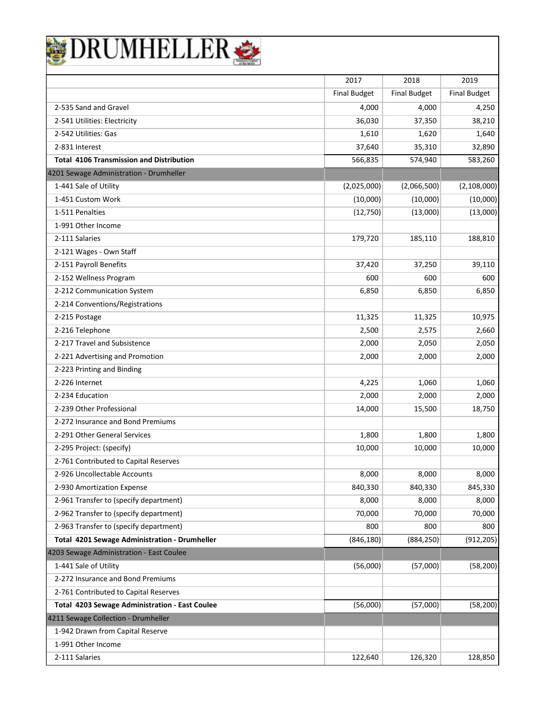|                                                 | 2017                | 2018                | 2019                |
|-------------------------------------------------|---------------------|---------------------|---------------------|
|                                                 | <b>Final Budget</b> | <b>Final Budget</b> | <b>Final Budget</b> |
| 2-535 Sand and Gravel                           | 4,000               | 4,000               | 4,250               |
| 2-541 Utilities: Electricity                    | 36,030              | 37,350              | 38,210              |
| 2-542 Utilities: Gas                            | 1,610               | 1,620               | 1,640               |
| 2-831 Interest                                  | 37,640              | 35,310              | 32,890              |
| <b>Total 4106 Transmission and Distribution</b> | 566,835             | 574,940             | 583,260             |
| 4201 Sewage Administration - Drumheller         |                     |                     |                     |
| 1-441 Sale of Utility                           | (2,025,000)         | (2,066,500)         | (2, 108, 000)       |
| 1-451 Custom Work                               | (10,000)            | (10,000)            | (10,000)            |
| 1-511 Penalties                                 | (12,750)            | (13,000)            | (13,000)            |
| 1-991 Other Income                              |                     |                     |                     |
| 2-111 Salaries                                  | 179,720             | 185,110             | 188,810             |
| 2-121 Wages - Own Staff                         |                     |                     |                     |
| 2-151 Payroll Benefits                          | 37,420              | 37,250              | 39,110              |
| 2-152 Wellness Program                          | 600                 | 600                 | 600                 |
| 2-212 Communication System                      | 6,850               | 6,850               | 6,850               |
| 2-214 Conventions/Registrations                 |                     |                     |                     |
| 2-215 Postage                                   | 11,325              | 11,325              | 10,975              |
| 2-216 Telephone                                 | 2,500               | 2,575               | 2,660               |
| 2-217 Travel and Subsistence                    | 2,000               | 2,050               | 2,050               |
| 2-221 Advertising and Promotion                 | 2,000               | 2,000               | 2,000               |
| 2-223 Printing and Binding                      |                     |                     |                     |
| 2-226 Internet                                  | 4,225               | 1,060               | 1,060               |
| 2-234 Education                                 | 2,000               | 2,000               | 2,000               |
| 2-239 Other Professional                        | 14,000              | 15,500              | 18,750              |
| 2-272 Insurance and Bond Premiums               |                     |                     |                     |
| 2-291 Other General Services                    | 1,800               | 1,800               | 1,800               |
| 2-295 Project: (specify)                        | 10,000              | 10,000              | 10,000              |
| 2-761 Contributed to Capital Reserves           |                     |                     |                     |
| 2-926 Uncollectable Accounts                    | 8,000               | 8,000               | 8,000               |
| 2-930 Amortization Expense                      | 840,330             | 840,330             | 845,330             |
| 2-961 Transfer to (specify department)          | 8,000               | 8,000               | 8,000               |
| 2-962 Transfer to (specify department)          | 70,000              | 70,000              | 70,000              |
| 2-963 Transfer to (specify department)          | 800                 | 800                 | 800                 |
| Total 4201 Sewage Administration - Drumheller   | (846, 180)          | (884, 250)          | (912, 205)          |
| 4203 Sewage Administration - East Coulee        |                     |                     |                     |
| 1-441 Sale of Utility                           | (56,000)            | (57,000)            | (58, 200)           |
| 2-272 Insurance and Bond Premiums               |                     |                     |                     |
| 2-761 Contributed to Capital Reserves           |                     |                     |                     |
| Total 4203 Sewage Administration - East Coulee  | (56,000)            | (57,000)            | (58, 200)           |
| 4211 Sewage Collection - Drumheller             |                     |                     |                     |
| 1-942 Drawn from Capital Reserve                |                     |                     |                     |
| 1-991 Other Income                              |                     |                     |                     |
| 2-111 Salaries                                  | 122,640             | 126,320             | 128,850             |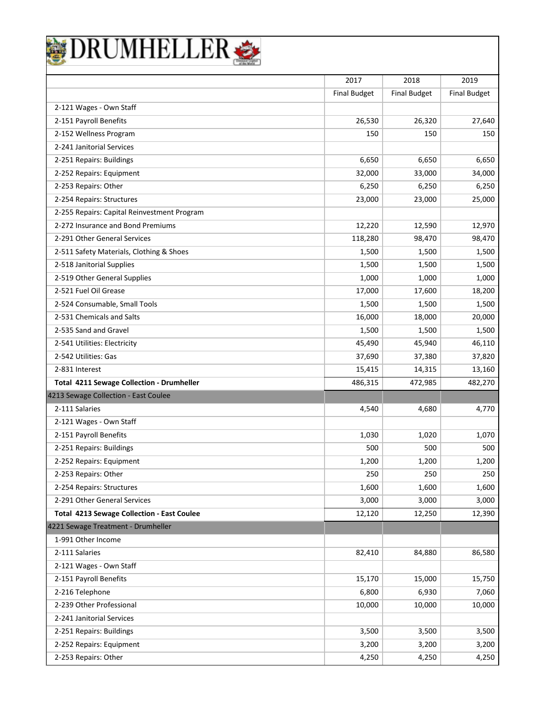|                                                   | 2017                | 2018                | 2019                |
|---------------------------------------------------|---------------------|---------------------|---------------------|
|                                                   | <b>Final Budget</b> | <b>Final Budget</b> | <b>Final Budget</b> |
| 2-121 Wages - Own Staff                           |                     |                     |                     |
| 2-151 Payroll Benefits                            | 26,530              | 26,320              | 27,640              |
| 2-152 Wellness Program                            | 150                 | 150                 | 150                 |
| 2-241 Janitorial Services                         |                     |                     |                     |
| 2-251 Repairs: Buildings                          | 6,650               | 6,650               | 6,650               |
| 2-252 Repairs: Equipment                          | 32,000              | 33,000              | 34,000              |
| 2-253 Repairs: Other                              | 6,250               | 6,250               | 6,250               |
| 2-254 Repairs: Structures                         | 23,000              | 23,000              | 25,000              |
| 2-255 Repairs: Capital Reinvestment Program       |                     |                     |                     |
| 2-272 Insurance and Bond Premiums                 | 12,220              | 12,590              | 12,970              |
| 2-291 Other General Services                      | 118,280             | 98,470              | 98,470              |
| 2-511 Safety Materials, Clothing & Shoes          | 1,500               | 1,500               | 1,500               |
| 2-518 Janitorial Supplies                         | 1,500               | 1,500               | 1,500               |
| 2-519 Other General Supplies                      | 1,000               | 1,000               | 1,000               |
| 2-521 Fuel Oil Grease                             | 17,000              | 17,600              | 18,200              |
| 2-524 Consumable, Small Tools                     | 1,500               | 1,500               | 1,500               |
| 2-531 Chemicals and Salts                         | 16,000              | 18,000              | 20,000              |
| 2-535 Sand and Gravel                             | 1,500               | 1,500               | 1,500               |
| 2-541 Utilities: Electricity                      | 45,490              | 45,940              | 46,110              |
| 2-542 Utilities: Gas                              | 37,690              | 37,380              | 37,820              |
| 2-831 Interest                                    | 15,415              | 14,315              | 13,160              |
| <b>Total 4211 Sewage Collection - Drumheller</b>  | 486,315             | 472,985             | 482,270             |
| 4213 Sewage Collection - East Coulee              |                     |                     |                     |
| 2-111 Salaries                                    | 4,540               | 4,680               | 4,770               |
| 2-121 Wages - Own Staff                           |                     |                     |                     |
| 2-151 Payroll Benefits                            | 1,030               | 1,020               | 1,070               |
| 2-251 Repairs: Buildings                          | 500                 | 500                 | 500                 |
| 2-252 Repairs: Equipment                          | 1,200               | 1,200               | 1,200               |
| 2-253 Repairs: Other                              | 250                 | 250                 | 250                 |
| 2-254 Repairs: Structures                         | 1,600               | 1,600               | 1,600               |
| 2-291 Other General Services                      | 3,000               | 3,000               | 3,000               |
| <b>Total 4213 Sewage Collection - East Coulee</b> | 12,120              | 12,250              | 12,390              |
| 4221 Sewage Treatment - Drumheller                |                     |                     |                     |
| 1-991 Other Income                                |                     |                     |                     |
| 2-111 Salaries                                    | 82,410              | 84,880              | 86,580              |
| 2-121 Wages - Own Staff                           |                     |                     |                     |
| 2-151 Payroll Benefits                            | 15,170              | 15,000              | 15,750              |
| 2-216 Telephone                                   | 6,800               | 6,930               | 7,060               |
| 2-239 Other Professional                          | 10,000              | 10,000              | 10,000              |
| 2-241 Janitorial Services                         |                     |                     |                     |
| 2-251 Repairs: Buildings                          | 3,500               | 3,500               | 3,500               |
| 2-252 Repairs: Equipment                          | 3,200               | 3,200               | 3,200               |
| 2-253 Repairs: Other                              | 4,250               | 4,250               | 4,250               |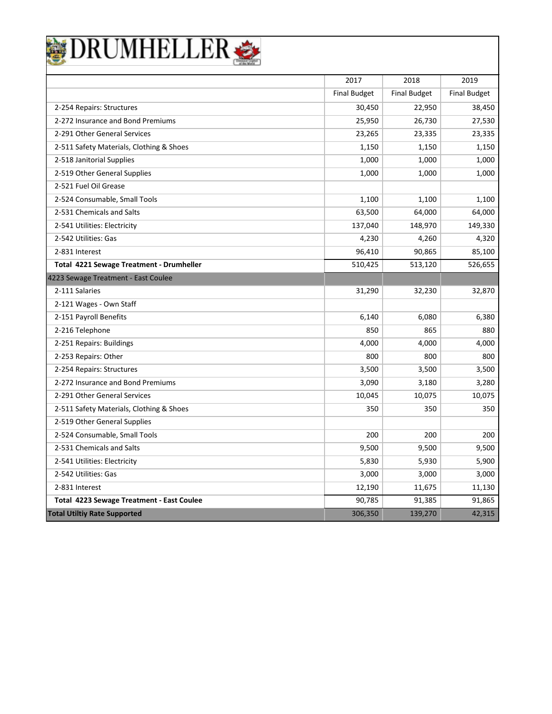| DRUMHELLEF                                |                     |                     |                     |
|-------------------------------------------|---------------------|---------------------|---------------------|
|                                           |                     |                     |                     |
|                                           | 2017                | 2018                | 2019                |
|                                           | <b>Final Budget</b> | <b>Final Budget</b> | <b>Final Budget</b> |
| 2-254 Repairs: Structures                 | 30,450              | 22,950              | 38,450              |
| 2-272 Insurance and Bond Premiums         | 25,950              | 26,730              | 27,530              |
| 2-291 Other General Services              | 23,265              | 23,335              | 23,335              |
| 2-511 Safety Materials, Clothing & Shoes  | 1,150               | 1,150               | 1,150               |
| 2-518 Janitorial Supplies                 | 1,000               | 1,000               | 1,000               |
| 2-519 Other General Supplies              | 1,000               | 1,000               | 1,000               |
| 2-521 Fuel Oil Grease                     |                     |                     |                     |
| 2-524 Consumable, Small Tools             | 1,100               | 1,100               | 1,100               |
| 2-531 Chemicals and Salts                 | 63,500              | 64,000              | 64,000              |
| 2-541 Utilities: Electricity              | 137,040             | 148,970             | 149,330             |
| 2-542 Utilities: Gas                      | 4,230               | 4,260               | 4,320               |
| 2-831 Interest                            | 96,410              | 90,865              | 85,100              |
| Total 4221 Sewage Treatment - Drumheller  | 510,425             | 513,120             | 526,655             |
| 4223 Sewage Treatment - East Coulee       |                     |                     |                     |
| 2-111 Salaries                            | 31,290              | 32,230              | 32,870              |
| 2-121 Wages - Own Staff                   |                     |                     |                     |
| 2-151 Payroll Benefits                    | 6,140               | 6,080               | 6,380               |
| 2-216 Telephone                           | 850                 | 865                 | 880                 |
| 2-251 Repairs: Buildings                  | 4,000               | 4,000               | 4,000               |
| 2-253 Repairs: Other                      | 800                 | 800                 | 800                 |
| 2-254 Repairs: Structures                 | 3,500               | 3,500               | 3,500               |
| 2-272 Insurance and Bond Premiums         | 3,090               | 3,180               | 3,280               |
| 2-291 Other General Services              | 10,045              | 10,075              | 10,075              |
| 2-511 Safety Materials, Clothing & Shoes  | 350                 | 350                 | 350                 |
| 2-519 Other General Supplies              |                     |                     |                     |
| 2-524 Consumable, Small Tools             | 200                 | 200                 | 200                 |
| 2-531 Chemicals and Salts                 | 9,500               | 9,500               | 9,500               |
| 2-541 Utilities: Electricity              | 5,830               | 5,930               | 5,900               |
| 2-542 Utilities: Gas                      | 3,000               | 3,000               | 3,000               |
| 2-831 Interest                            | 12,190              | 11,675              | 11,130              |
| Total 4223 Sewage Treatment - East Coulee | 90,785              | 91,385              | 91,865              |
| <b>Total Utiltiy Rate Supported</b>       | 306,350             | 139,270             | 42,315              |